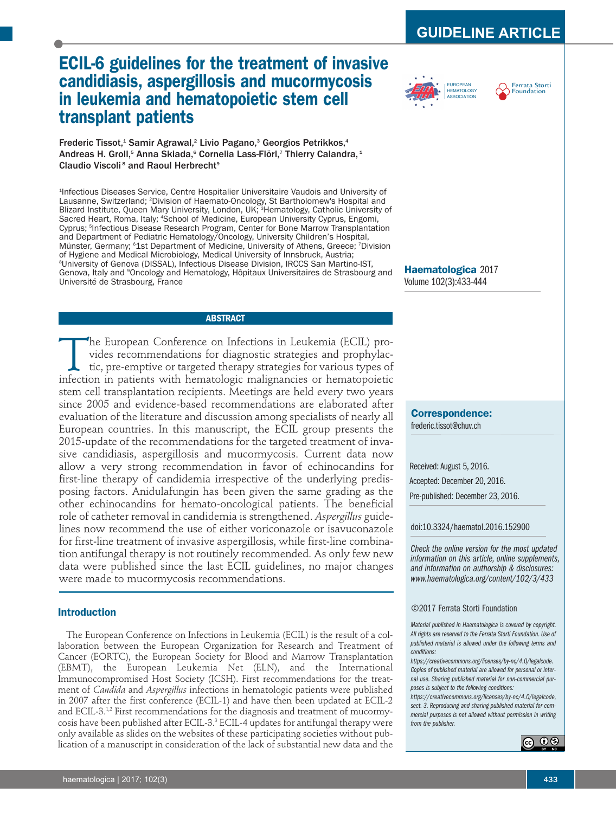# **ECIL-6 guidelines for the treatment of invasive candidiasis, aspergillosis and mucormycosis in leukemia and hematopoietic stem cell transplant patients**

Frederic Tissot, <sup>1</sup> Samir Agrawal, <sup>2</sup> Livio Pagano, <sup>3</sup> Georgios Petrikkos, 4 Andreas H. Groll,<sup>s</sup> Anna Skiada,<sup>s</sup> Cornelia Lass-Flörl,<sup>7</sup> Thierry Calandra, <del>'</del> Claudio Viscoli<sup>s</sup> and Raoul Herbrecht<sup>s</sup>

1 Infectious Diseases Service, Centre Hospitalier Universitaire Vaudois and University of Lausanne, Switzerland; <sup>2</sup> Division of Haemato-Oncology, St Bartholomew's Hospital and Blizard Institute, Queen Mary University, London, UK; <sup>3</sup>Hematology, Catholic University of Sacred Heart, Roma, Italy; <sup>4</sup>School of Medicine, European University Cyprus, Engomi, Cyprus; <sup>5</sup> Infectious Disease Research Program, Center for Bone Marrow Transplantation and Department of Pediatric Hematology/Oncology, University Children's Hospital, Münster, Germany; <sup>6</sup>1st Department of Medicine, University of Athens, Greece; <sup>7</sup>Division of Hygiene and Medical Microbiology, Medical University of Innsbruck, Austria; 8 University of Genova (DISSAL), Infectious Disease Division, IRCCS San Martino-IST, Genova, Italy and <sup>9</sup>Oncology and Hematology, Hôpitaux Universitaires de Strasbourg and Université de Strasbourg, France

# **ABSTRACT**

The European Conference on Infections in Leukemia (ECIL) provides recommendations for diagnostic strategies and prophylactic, pre-emptive or targeted therapy strategies for various types of infection in patients with hemat vides recommendations for diagnostic strategies and prophylactic, pre-emptive or targeted therapy strategies for various types of infection in patients with hematologic malignancies or hematopoietic stem cell transplantation recipients. Meetings are held every two years since 2005 and evidence-based recommendations are elaborated after evaluation of the literature and discussion among specialists of nearly all European countries. In this manuscript, the ECIL group presents the 2015-update of the recommendations for the targeted treatment of invasive candidiasis, aspergillosis and mucormycosis. Current data now allow a very strong recommendation in favor of echinocandins for first-line therapy of candidemia irrespective of the underlying predisposing factors. Anidulafungin has been given the same grading as the other echinocandins for hemato-oncological patients. The beneficial role of catheter removal in candidemia is strengthened. *Aspergillus* guidelines now recommend the use of either voriconazole or isavuconazole for first-line treatment of invasive aspergillosis, while first-line combination antifungal therapy is not routinely recommended. As only few new data were published since the last ECIL guidelines, no major changes were made to mucormycosis recommendations.

# **Introduction**

The European Conference on Infections in Leukemia (ECIL) is the result of a collaboration between the European Organization for Research and Treatment of Cancer (EORTC), the European Society for Blood and Marrow Transplantation (EBMT), the European Leukemia Net (ELN), and the International Immunocompromised Host Society (ICSH). First recommendations for the treatment of *Candida* and *Aspergillus* infections in hematologic patients were published in 2007 after the first conference (ECIL-1) and have then been updated at ECIL-2 and ECIL-3.<sup>1,2</sup> First recommendations for the diagnosis and treatment of mucormycosis have been published after ECIL-3. <sup>3</sup> ECIL-4 updates for antifungal therapy were only available as slides on the websites of these participating societies without publication of a manuscript in consideration of the lack of substantial new data and the





**Haematologica** 2017 Volume 102(3):433-444

**Correspondence:**

frederic.tissot@chuv.ch

Received: August 5, 2016. Accepted: December 20, 2016. Pre-published: December 23, 2016.

# doi:10.3324/haematol.2016.152900

*Check the online version for the most updated information on this article, online supplements, and information on authorship & disclosures: www.haematologica.org/content/102/3/433*

# ©2017 Ferrata Storti Foundation

*Material published in Haematologica is covered by copyright. All rights are reserved to the Ferrata Storti Foundation. Use of published material is allowed under the following terms and conditions:*

*https://creativecommons.org/licenses/by-nc/4.0/legalcode. Copies of published material are allowed for personal or internal use. Sharing published material for non-commercial purposes is subject to the following conditions:*

*https://creativecommons.org/licenses/by-nc/4.0/legalcode, sect. 3. Reproducing and sharing published material for commercial purposes is not allowed without permission in writing from the publisher.*

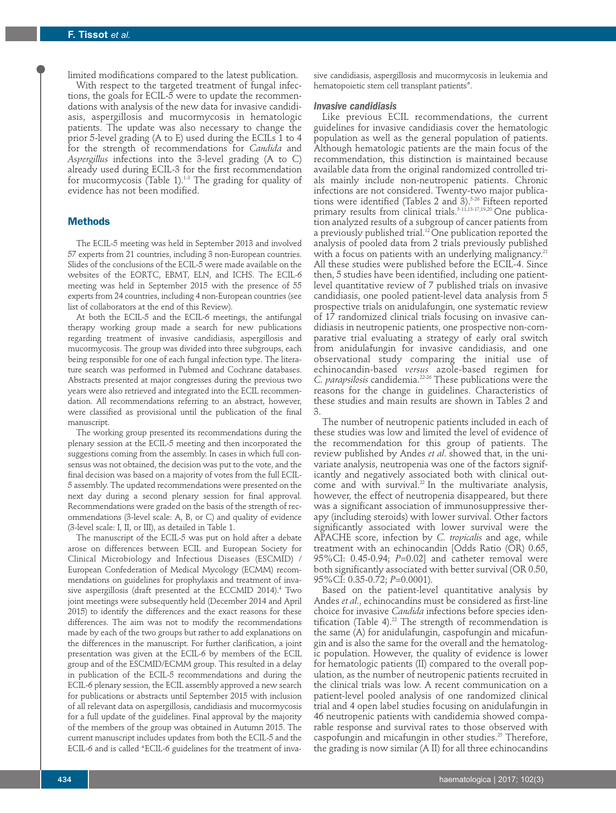limited modifications compared to the latest publication. With respect to the targeted treatment of fungal infections, the goals for ECIL-5 were to update the recommendations with analysis of the new data for invasive candidiasis, aspergillosis and mucormycosis in hematologic patients. The update was also necessary to change the prior 5-level grading (A to E) used during the ECILs 1 to 4 for the strength of recommendations for *Candida* and *Aspergillus* infections into the 3-level grading (A to C) already used during ECIL-3 for the first recommendation for mucormycosis (Table 1). 1-3 The grading for quality of evidence has not been modified.

# **Methods**

The ECIL-5 meeting was held in September 2013 and involved 57 experts from 21 countries, including 3 non-European countries. Slides of the conclusions of the ECIL-5 were made available on the websites of the EORTC, EBMT, ELN, and ICHS. The ECIL-6 meeting was held in September 2015 with the presence of 55 experts from 24 countries, including 4 non-European countries (see list of collaborators at the end of this Review).

At both the ECIL-5 and the ECIL-6 meetings, the antifungal therapy working group made a search for new publications regarding treatment of invasive candidiasis, aspergillosis and mucormycosis. The group was divided into three subgroups, each being responsible for one of each fungal infection type. The literature search was performed in Pubmed and Cochrane databases. Abstracts presented at major congresses during the previous two years were also retrieved and integrated into the ECIL recommendation. All recommendations referring to an abstract, however, were classified as provisional until the publication of the final manuscript.

The working group presented its recommendations during the plenary session at the ECIL-5 meeting and then incorporated the suggestions coming from the assembly. In cases in which full consensus was not obtained, the decision was put to the vote, and the final decision was based on a majority of votes from the full ECIL-5 assembly. The updated recommendations were presented on the next day during a second plenary session for final approval. Recommendations were graded on the basis of the strength of recommendations (3-level scale: A, B, or C) and quality of evidence (3-level scale: I, II, or III), as detailed in Table 1.

The manuscript of the ECIL-5 was put on hold after a debate arose on differences between ECIL and European Society for Clinical Microbiology and Infectious Diseases (ESCMID) / European Confederation of Medical Mycology (ECMM) recommendations on guidelines for prophylaxis and treatment of invasive aspergillosis (draft presented at the ECCMID 2014). <sup>4</sup> Two joint meetings were subsequently held (December 2014 and April 2015) to identify the differences and the exact reasons for these differences. The aim was not to modify the recommendations made by each of the two groups but rather to add explanations on the differences in the manuscript. For further clarification, a joint presentation was given at the ECIL-6 by members of the ECIL group and of the ESCMID/ECMM group. This resulted in a delay in publication of the ECIL-5 recommendations and during the ECIL-6 plenary session, the ECIL assembly approved a new search for publications or abstracts until September 2015 with inclusion of all relevant data on aspergillosis, candidiasis and mucormycosis for a full update of the guidelines. Final approval by the majority of the members of the group was obtained in Autumn 2015. The current manuscript includes updates from both the ECIL-5 and the ECIL-6 and is called "ECIL-6 guidelines for the treatment of inva-

sive candidiasis, aspergillosis and mucormycosis in leukemia and hematopoietic stem cell transplant patients".

# *Invasive candidiasis*

Like previous ECIL recommendations, the current guidelines for invasive candidiasis cover the hematologic population as well as the general population of patients. Although hematologic patients are the main focus of the recommendation, this distinction is maintained because available data from the original randomized controlled trials mainly include non-neutropenic patients. Chronic infections are not considered. Twenty-two major publications were identified (Tables 2 and 3). 5-26 Fifteen reported primary results from clinical trials. 5-11,13-17,19,20 One publication analyzed results of a subgroup of cancer patients from a previously published trial. 12 One publication reported the analysis of pooled data from 2 trials previously published with a focus on patients with an underlying malignancy. $^{21}$ All these studies were published before the ECIL-4. Since then, 5 studies have been identified, including one patientlevel quantitative review of 7 published trials on invasive candidiasis, one pooled patient-level data analysis from 5 prospective trials on anidulafungin, one systematic review of 17 randomized clinical trials focusing on invasive candidiasis in neutropenic patients, one prospective non-comparative trial evaluating a strategy of early oral switch from anidulafungin for invasive candidiasis, and one observational study comparing the initial use of echinocandin-based *versus* azole-based regimen for *C. parapsilosis* candidemia. 22-26 These publications were the reasons for the change in guidelines. Characteristics of these studies and main results are shown in Tables 2 and 3.

The number of neutropenic patients included in each of these studies was low and limited the level of evidence of the recommendation for this group of patients. The review published by Andes *et al*. showed that, in the univariate analysis, neutropenia was one of the factors significantly and negatively associated both with clinical outcome and with survival. <sup>22</sup> In the multivariate analysis, however, the effect of neutropenia disappeared, but there was a significant association of immunosuppressive therapy (including steroids) with lower survival. Other factors significantly associated with lower survival were the APACHE score, infection by *C. tropicalis* and age, while treatment with an echinocandin [Odds Ratio (OR) 0.65, 95%CI: 0.45-0.94; *P*=0.02] and catheter removal were both significantly associated with better survival (OR 0.50, 95%CI: 0.35-0.72; *P*=0.0001).

Based on the patient-level quantitative analysis by Andes *et al*., echinocandins must be considered as first-line choice for invasive *Candida* infections before species identification (Table 4). <sup>22</sup> The strength of recommendation is the same (A) for anidulafungin, caspofungin and micafungin and is also the same for the overall and the hematologic population. However, the quality of evidence is lower for hematologic patients (II) compared to the overall population, as the number of neutropenic patients recruited in the clinical trials was low. A recent communication on a patient-level pooled analysis of one randomized clinical trial and 4 open label studies focusing on anidulafungin in 46 neutropenic patients with candidemia showed comparable response and survival rates to those observed with caspofungin and micafungin in other studies. <sup>25</sup> Therefore, the grading is now similar (A II) for all three echinocandins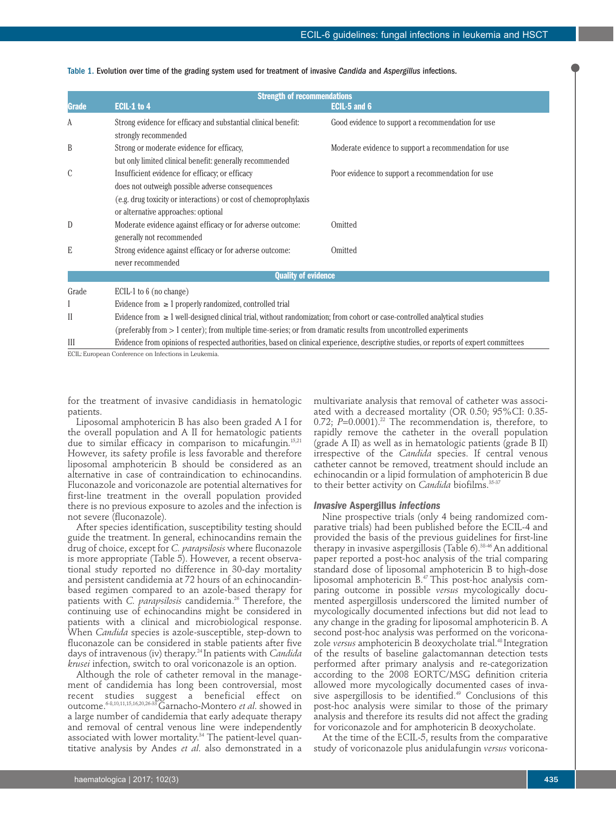| <b>Strength of recommendations</b> |                                                                                                                               |                                                                                                                                     |  |  |  |
|------------------------------------|-------------------------------------------------------------------------------------------------------------------------------|-------------------------------------------------------------------------------------------------------------------------------------|--|--|--|
| Grade                              | ECIL-1 to 4                                                                                                                   | <b>ECIL-5 and 6</b>                                                                                                                 |  |  |  |
| A                                  | Strong evidence for efficacy and substantial clinical benefit:                                                                | Good evidence to support a recommendation for use                                                                                   |  |  |  |
|                                    | strongly recommended                                                                                                          |                                                                                                                                     |  |  |  |
| B                                  | Strong or moderate evidence for efficacy,                                                                                     | Moderate evidence to support a recommendation for use.                                                                              |  |  |  |
|                                    | but only limited clinical benefit: generally recommended                                                                      |                                                                                                                                     |  |  |  |
| C                                  | Insufficient evidence for efficacy; or efficacy                                                                               | Poor evidence to support a recommendation for use                                                                                   |  |  |  |
|                                    | does not outweigh possible adverse consequences                                                                               |                                                                                                                                     |  |  |  |
|                                    | (e.g. drug toxicity or interactions) or cost of chemoprophylaxis                                                              |                                                                                                                                     |  |  |  |
|                                    | or alternative approaches: optional                                                                                           |                                                                                                                                     |  |  |  |
| D                                  | Moderate evidence against efficacy or for adverse outcome:                                                                    | Omitted                                                                                                                             |  |  |  |
|                                    | generally not recommended                                                                                                     |                                                                                                                                     |  |  |  |
| E                                  | Strong evidence against efficacy or for adverse outcome:                                                                      | Omitted                                                                                                                             |  |  |  |
|                                    | never recommended                                                                                                             |                                                                                                                                     |  |  |  |
|                                    | <b>Quality of evidence</b>                                                                                                    |                                                                                                                                     |  |  |  |
| Grade                              | ECIL-1 to $6$ (no change)                                                                                                     |                                                                                                                                     |  |  |  |
|                                    | Evidence from $\geq 1$ properly randomized, controlled trial                                                                  |                                                                                                                                     |  |  |  |
| $\mathbf{I}$                       | Evidence from $\geq 1$ well-designed clinical trial, without randomization; from cohort or case-controlled analytical studies |                                                                                                                                     |  |  |  |
|                                    | (preferably from > 1 center); from multiple time-series; or from dramatic results from uncontrolled experiments               |                                                                                                                                     |  |  |  |
| Ш                                  |                                                                                                                               | Evidence from opinions of respected authorities, based on clinical experience, descriptive studies, or reports of expert committees |  |  |  |

Table 1. Evolution over time of the grading system used for treatment of invasive *Candida* and *Aspergillus* infections.

ECIL: European Conference on Infections in Leukemia.

for the treatment of invasive candidiasis in hematologic patients.

Liposomal amphotericin B has also been graded A I for the overall population and A II for hematologic patients due to similar efficacy in comparison to micafungin. 15,21 However, its safety profile is less favorable and therefore liposomal amphotericin B should be considered as an alternative in case of contraindication to echinocandins. Fluconazole and voriconazole are potential alternatives for first-line treatment in the overall population provided there is no previous exposure to azoles and the infection is not severe (fluconazole).

After species identification, susceptibility testing should guide the treatment. In general, echinocandins remain the drug of choice, except for *C. parapsilosis* where fluconazole is more appropriate (Table 5). However, a recent observational study reported no difference in 30-day mortality and persistent candidemia at 72 hours of an echinocandinbased regimen compared to an azole-based therapy for patients with *C. parapsilosis* candidemia. <sup>26</sup> Therefore, the continuing use of echinocandins might be considered in patients with a clinical and microbiological response. When *Candida* species is azole-susceptible, step-down to fluconazole can be considered in stable patients after five days of intravenous (iv) therapy. 24 In patients with *Candida krusei* infection, switch to oral voriconazole is an option.

Although the role of catheter removal in the management of candidemia has long been controversial, most recent studies suggest a beneficial effect on outcome. 6-8,10,11,15,16,20,26-33Garnacho-Montero *et al*. showed in a large number of candidemia that early adequate therapy and removal of central venous line were independently associated with lower mortality. <sup>34</sup> The patient-level quantitative analysis by Andes *et al*. also demonstrated in a

multivariate analysis that removal of catheter was associated with a decreased mortality (OR 0.50; 95%CI: 0.35- 0.72; *P*=0.0001). <sup>22</sup> The recommendation is, therefore, to rapidly remove the catheter in the overall population (grade A II) as well as in hematologic patients (grade B II) irrespective of the *Candida* species. If central venous catheter cannot be removed, treatment should include an echinocandin or a lipid formulation of amphotericin B due to their better activity on *Candida* biofilms. 35-37

# *Invasive* **Aspergillus** *infections*

Nine prospective trials (only 4 being randomized comparative trials) had been published before the ECIL-4 and provided the basis of the previous guidelines for first-line therapy in invasive aspergillosis (Table 6). 38-46 An additional paper reported a post-hoc analysis of the trial comparing standard dose of liposomal amphotericin B to high-dose liposomal amphotericin B. <sup>47</sup> This post-hoc analysis comparing outcome in possible *versus* mycologically documented aspergillosis underscored the limited number of mycologically documented infections but did not lead to any change in the grading for liposomal amphotericin B. A second post-hoc analysis was performed on the voriconazole *versus* amphotericin B deoxycholate trial. <sup>48</sup> Integration of the results of baseline galactomannan detection tests performed after primary analysis and re-categorization according to the 2008 EORTC/MSG definition criteria allowed more mycologically documented cases of invasive aspergillosis to be identified. <sup>49</sup> Conclusions of this post-hoc analysis were similar to those of the primary analysis and therefore its results did not affect the grading for voriconazole and for amphotericin B deoxycholate.

At the time of the ECIL-5, results from the comparative study of voriconazole plus anidulafungin *versus* voricona-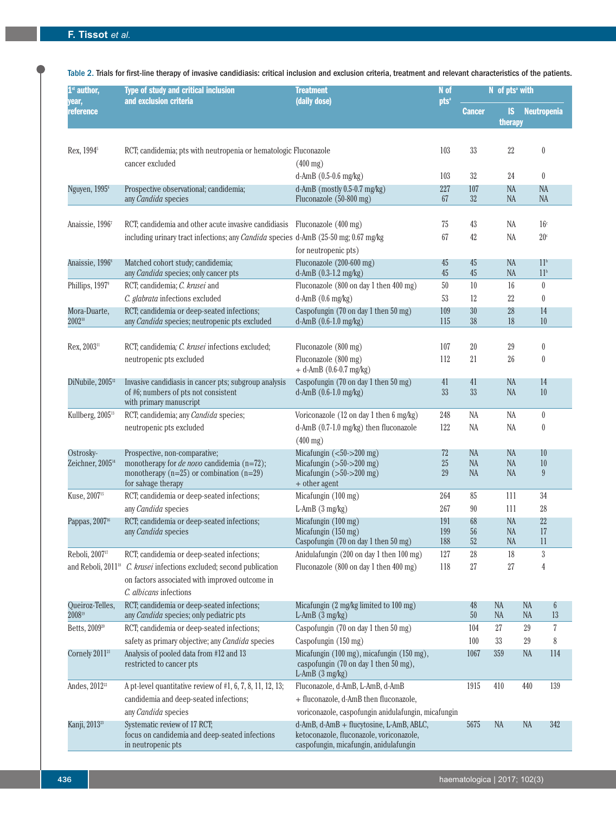| $1st$ author,                             | Type of study and critical inclusion<br>and exclusion criteria                                                                                                | N of<br><b>Treatment</b><br>(daily dose)                                                                                          |                   |                                     | N of pts <sup>a</sup> with |                                                 |  |
|-------------------------------------------|---------------------------------------------------------------------------------------------------------------------------------------------------------------|-----------------------------------------------------------------------------------------------------------------------------------|-------------------|-------------------------------------|----------------------------|-------------------------------------------------|--|
| year,<br>reference                        |                                                                                                                                                               |                                                                                                                                   | pts <sup>a</sup>  | <b>Cancer</b>                       | <b>IS</b><br>therapy       | <b>Neutropenia</b>                              |  |
| Rex, 1994 <sup>5</sup>                    | RCT; candidemia; pts with neutropenia or hematologic Fluconazole<br>cancer excluded                                                                           | $(400 \text{ mg})$                                                                                                                | 103               | 33                                  | 22                         | $\pmb{0}$                                       |  |
|                                           |                                                                                                                                                               | d-AmB $(0.5-0.6$ mg/kg)                                                                                                           | 103               | 32                                  | 24                         | $\boldsymbol{0}$                                |  |
| Nguyen, 1995 <sup>6</sup>                 | Prospective observational; candidemia;<br>any Candida species                                                                                                 | d-AmB (mostly $0.5$ -0.7 mg/kg)<br>Fluconazole (50-800 mg)                                                                        | 227<br>67         | 107<br>$32\,$                       | NA<br>NA                   | NA<br><b>NA</b>                                 |  |
| Anaissie, 1996 <sup>7</sup>               | RCT; candidemia and other acute invasive candidiasis<br>including urinary tract infections; any <i>Candida</i> species d-AmB (25-50 mg; 0.67 mg/kg            | Fluconazole (400 mg)<br>for neutropenic pts)                                                                                      | 75<br>67          | 43<br>42                            | NA<br>NA                   | 16 <sup>c</sup><br>20 <sup>c</sup>              |  |
| Anaissie, 1996 <sup>8</sup>               | Matched cohort study; candidemia;<br>any Candida species; only cancer pts                                                                                     | Fluconazole (200-600 mg)<br>d-AmB (0.3-1.2 mg/kg)                                                                                 | 45<br>45          | 45<br>45                            | NA<br><b>NA</b>            | 11 <sup>b</sup><br>11 <sup>b</sup>              |  |
| Phillips, 1997 <sup>9</sup>               | RCT; candidemia; C. krusei and                                                                                                                                | Fluconazole (800 on day 1 then 400 mg)                                                                                            | 50                | 10                                  | 16                         | $\boldsymbol{0}$                                |  |
|                                           | C. glabrata infections excluded                                                                                                                               | $d$ -AmB $(0.6 \text{ mg/kg})$                                                                                                    | 53                | 12                                  | 22                         | $\boldsymbol{0}$                                |  |
| Mora-Duarte,<br>200210                    | RCT; candidemia or deep-seated infections;<br>any Candida species; neutropenic pts excluded                                                                   | Caspofungin (70 on day 1 then 50 mg)<br>d-AmB (0.6-1.0 mg/kg)                                                                     | 109<br>115        | $30\,$<br>38                        | 28<br>18                   | 14<br>$10\,$                                    |  |
| Rex, 2003 <sup>11</sup>                   | RCT; candidemia; C. krusei infections excluded;<br>neutropenic pts excluded                                                                                   | Fluconazole (800 mg)<br>Fluconazole (800 mg)<br>$+$ d-AmB (0.6-0.7 mg/kg)                                                         | 107<br>112        | $20\,$<br>21                        | $\rm 29$<br>26             | $\boldsymbol{0}$<br>$\boldsymbol{0}$            |  |
| DiNubile, 2005 <sup>12</sup>              | Invasive candidiasis in cancer pts; subgroup analysis<br>of #6; numbers of pts not consistent<br>with primary manuscript                                      | Caspofungin (70 on day 1 then 50 mg)<br>d-AmB (0.6-1.0 mg/kg)                                                                     | 41<br>33          | 41<br>$33\,$                        | NA<br>NA                   | 14<br>$10\,$                                    |  |
| Kullberg, 2005 <sup>13</sup>              | RCT; candidemia; any Candida species;                                                                                                                         | Voriconazole (12 on day 1 then 6 mg/kg)                                                                                           | 248               | NA                                  | NA                         | $\boldsymbol{0}$                                |  |
|                                           | neutropenic pts excluded                                                                                                                                      | d-AmB (0.7-1.0 mg/kg) then fluconazole<br>$(400 \text{ mg})$                                                                      | 122               | NA                                  | NA                         | $\bf{0}$                                        |  |
| Ostrosky-<br>Zeichner, 2005 <sup>14</sup> | Prospective, non-comparative;<br>monotherapy for <i>de novo</i> candidemia (n=72);<br>monotherapy ( $n=25$ ) or combination ( $n=29$ )<br>for salvage therapy | Micafungin $(<50->200$ mg)<br>Micafungin $(>50->200$ mg)<br>Micafungin $(>50->200$ mg)<br>+ other agent                           | 72<br>25<br>29    | <b>NA</b><br><b>NA</b><br><b>NA</b> | NA<br>NA<br>NA             | 10<br>10<br>9                                   |  |
| Kuse, 2007 <sup>15</sup>                  | RCT; candidemia or deep-seated infections;                                                                                                                    | Micafungin (100 mg)                                                                                                               | 264               | 85                                  | 111                        | 34                                              |  |
|                                           | any Candida species                                                                                                                                           | $L$ -AmB $(3 \text{ mg/kg})$                                                                                                      | 267               | 90                                  | 111                        | 28                                              |  |
| Pappas, 2007 <sup>16</sup>                | RCT; candidemia or deep-seated infections;<br>any Candida species                                                                                             | Micafungin (100 mg)<br>Micafungin (150 mg)<br>Caspofungin (70 on day 1 then 50 mg)                                                | 191<br>199<br>188 | 68<br>$56\,$<br>$52\,$              | <b>NA</b><br>NA<br>NA      | 22<br>17<br>11                                  |  |
| Reboli, 2007 <sup>17</sup>                | RCT; candidemia or deep-seated infections;                                                                                                                    | Anidulafungin (200 on day 1 then 100 mg)                                                                                          | 127               | $\sqrt{28}$                         | 18                         | $\sqrt{3}$                                      |  |
|                                           | and Reboli, 2011 <sup>18</sup> C. krusei infections excluded; second publication<br>on factors associated with improved outcome in<br>C. albicans infections  | Fluconazole (800 on day 1 then 400 mg)                                                                                            | 118               | $27\,$                              | $27\,$                     | 4                                               |  |
| Queiroz-Telles,<br>200819                 | RCT; candidemia or deep-seated infections;<br>any Candida species; only pediatric pts                                                                         | Micafungin (2 mg/kg limited to 100 mg)<br>L-AmB $(3 \text{ mg/kg})$                                                               |                   | 48<br>50                            | <b>NA</b><br><b>NA</b>     | <b>NA</b><br>$6\phantom{.0}$<br>13<br><b>NA</b> |  |
| Betts, 2009 <sup>20</sup>                 | RCT; candidemia or deep-seated infections;                                                                                                                    | Caspofungin (70 on day 1 then 50 mg)                                                                                              |                   | 104                                 | $27\,$                     | 29<br>7                                         |  |
|                                           | safety as primary objective; any Candida species                                                                                                              | Caspofungin (150 mg)                                                                                                              |                   | 100                                 | $33\,$                     | 8<br>29                                         |  |
| Cornely 2011 <sup>21</sup>                | Analysis of pooled data from #12 and 13<br>restricted to cancer pts                                                                                           | Micafungin (100 mg), micafungin (150 mg),<br>caspofungin (70 on day 1 then 50 mg),<br>L-AmB $(3 \text{ mg/kg})$                   |                   | 1067                                | 359                        | <b>NA</b><br>114                                |  |
| Andes, 2012 <sup>22</sup>                 | A pt-level quantitative review of $#1, 6, 7, 8, 11, 12, 13;$<br>candidemia and deep-seated infections;<br>any Candida species                                 | Fluconazole, d-AmB, L-AmB, d-AmB<br>+ fluconazole, d-AmB then fluconazole,<br>voriconazole, caspofungin anidulafungin, micafungin |                   | 1915                                | 410                        | 440<br>139                                      |  |
| Kanji, 2013 <sup>23</sup>                 | Systematic review of 17 RCT;<br>focus on candidemia and deep-seated infections<br>in neutropenic pts                                                          | d-AmB, d-AmB + flucytosine, L-AmB, ABLC,<br>ketoconazole, fluconazole, voriconazole,<br>caspofungin, micafungin, anidulafungin    |                   | 5675                                | <b>NA</b>                  | <b>NA</b><br>342                                |  |

Table 2. Trials for first-line therapy of invasive candidiasis: critical inclusion and exclusion criteria, treatment and relevant characteristics of the patients.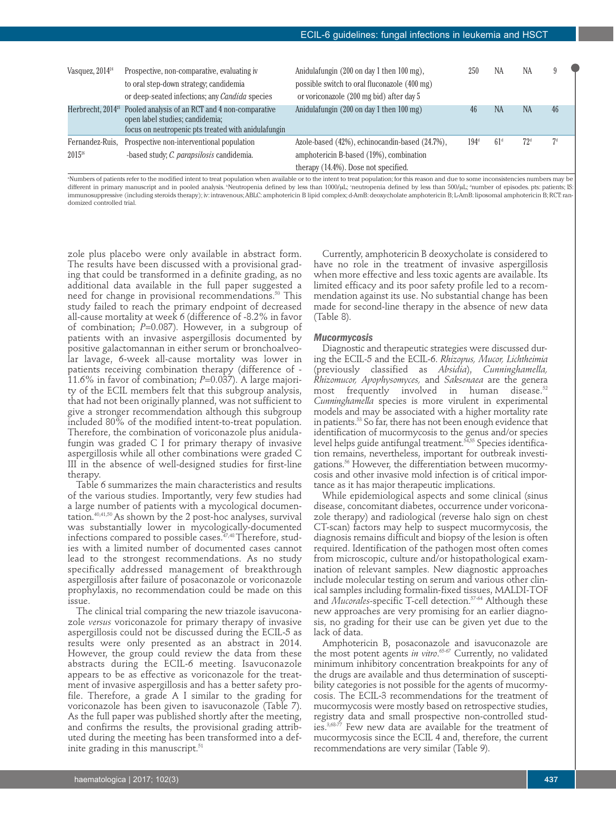| Vasquez, $2014^{24}$           | Prospective, non-comparative, evaluating iv<br>to oral step-down strategy; candidemia<br>or deep-seated infections; any Candida species   | Anidulafungin (200 on day 1 then 100 mg),<br>possible switch to oral fluconazole (400 mg)<br>or voriconazole (200 mg bid) after day 5 | 250           | NA              | NA              |    |
|--------------------------------|-------------------------------------------------------------------------------------------------------------------------------------------|---------------------------------------------------------------------------------------------------------------------------------------|---------------|-----------------|-----------------|----|
| Herbrecht, 2014 <sup>25</sup>  | Pooled analysis of an RCT and 4 non-comparative<br>open label studies; candidemia;<br>focus on neutropenic pts treated with anidulafungin | Anidulafungin (200 on day 1 then 100 mg)                                                                                              | 46            | NA              | <b>NA</b>       | 46 |
| Fernandez-Ruis,<br>$2015^{26}$ | Prospective non-interventional population<br>-based study; C. parapsilosis candidemia.                                                    | Azole-based (42%), echinocandin-based (24.7%),<br>amphotericin B-based (19%), combination<br>therapy (14.4%). Dose not specified.     | $194^{\rm d}$ | 61 <sup>d</sup> | 72 <sup>d</sup> | 7d |

a Numbers of patients refer to the modified intent to treat population when available or to the intent to treat population; for this reason and due to some inconsistencies numbers may be different in primary manuscript and in pooled analysis. "Neutropenia defined by less than bet defined by less than 500/µL; "number of episodes. pts: patients; IS: immunosuppressive (including steroids therapy); iv: intravenous;ABLC: amphotericin B lipid complex; d-AmB: deoxycholate amphotericin B; L-AmB: liposomal amphotericin B;RCT:randomized controlled trial.

zole plus placebo were only available in abstract form. The results have been discussed with a provisional grading that could be transformed in a definite grading, as no additional data available in the full paper suggested a need for change in provisional recommendations. <sup>50</sup> This study failed to reach the primary endpoint of decreased all-cause mortality at week 6 (difference of -8.2% in favor of combination; *P*=0.087). However, in a subgroup of patients with an invasive aspergillosis documented by positive galactomannan in either serum or bronchoalveolar lavage, 6-week all-cause mortality was lower in patients receiving combination therapy (difference of - 11.6% in favor of combination; *P*=0.037). A large majority of the ECIL members felt that this subgroup analysis, that had not been originally planned, was not sufficient to give a stronger recommendation although this subgroup included 80% of the modified intent-to-treat population. Therefore, the combination of voriconazole plus anidulafungin was graded C I for primary therapy of invasive aspergillosis while all other combinations were graded C III in the absence of well-designed studies for first-line therapy.

Table 6 summarizes the main characteristics and results of the various studies. Importantly, very few studies had a large number of patients with a mycological documentation. 40,41,50As shown by the 2 post-hoc analyses, survival was substantially lower in mycologically-documented infections compared to possible cases. 47,48Therefore, studies with a limited number of documented cases cannot lead to the strongest recommendations. As no study specifically addressed management of breakthrough aspergillosis after failure of posaconazole or voriconazole prophylaxis, no recommendation could be made on this issue.

The clinical trial comparing the new triazole isavuconazole *versus* voriconazole for primary therapy of invasive aspergillosis could not be discussed during the ECIL-5 as results were only presented as an abstract in 2014. However, the group could review the data from these abstracts during the ECIL-6 meeting. Isavuconazole appears to be as effective as voriconazole for the treatment of invasive aspergillosis and has a better safety profile. Therefore, a grade A I similar to the grading for voriconazole has been given to isavuconazole (Table 7). As the full paper was published shortly after the meeting, and confirms the results, the provisional grading attributed during the meeting has been transformed into a definite grading in this manuscript. $^{\scriptscriptstyle 51}$ 

Currently, amphotericin B deoxycholate is considered to have no role in the treatment of invasive aspergillosis when more effective and less toxic agents are available. Its limited efficacy and its poor safety profile led to a recommendation against its use. No substantial change has been made for second-line therapy in the absence of new data (Table 8).

#### *Mucormycosis*

Diagnostic and therapeutic strategies were discussed during the ECIL-5 and the ECIL-6. *Rhizopus, Mucor, Lichtheimia* (previously classified as *Absidia*), *Cunninghamella, Rhizomucor, Apophysomyces,* and *Saksenaea* are the genera most frequently involved in human disease. 52 *Cunninghamella* species is more virulent in experimental models and may be associated with a higher mortality rate in patients. <sup>53</sup> So far, there has not been enough evidence that identification of mucormycosis to the genus and/or species level helps guide antifungal treatment. 54,55 Species identification remains, nevertheless, important for outbreak investigations. <sup>56</sup> However, the differentiation between mucormycosis and other invasive mold infection is of critical importance as it has major therapeutic implications.

While epidemiological aspects and some clinical (sinus disease, concomitant diabetes, occurrence under voriconazole therapy) and radiological (reverse halo sign on chest CT-scan) factors may help to suspect mucormycosis, the diagnosis remains difficult and biopsy of the lesion is often required. Identification of the pathogen most often comes from microscopic, culture and/or histopathological examination of relevant samples. New diagnostic approaches include molecular testing on serum and various other clinical samples including formalin-fixed tissues, MALDI-TOF and *Mucorales*-specific T-cell detection. 57-64 Although these new approaches are very promising for an earlier diagnosis, no grading for their use can be given yet due to the lack of data.

Amphotericin B, posaconazole and isavuconazole are the most potent agents *in vitro*. 65-67 Currently, no validated minimum inhibitory concentration breakpoints for any of the drugs are available and thus determination of susceptibility categories is not possible for the agents of mucormycosis. The ECIL-3 recommendations for the treatment of mucormycosis were mostly based on retrospective studies, registry data and small prospective non-controlled studies. 3,68-77 Few new data are available for the treatment of mucormycosis since the ECIL 4 and, therefore, the current recommendations are very similar (Table 9).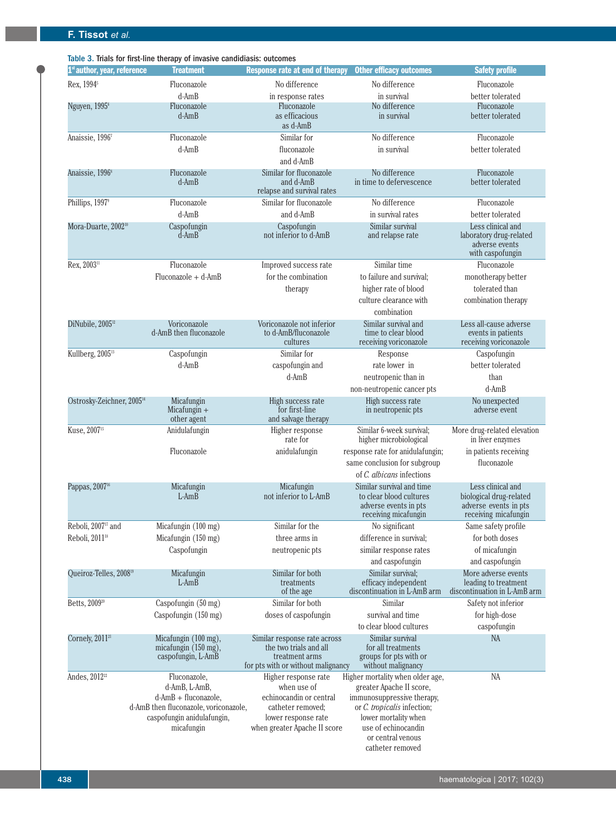| 1 <sup>st</sup> author, year, reference | <b>Treatment</b>                                                                  | <b>Response rate at end of therapy</b>                                                                         | <b>Other efficacy outcomes</b>                                                                        | <b>Safety profile</b>                                                                         |
|-----------------------------------------|-----------------------------------------------------------------------------------|----------------------------------------------------------------------------------------------------------------|-------------------------------------------------------------------------------------------------------|-----------------------------------------------------------------------------------------------|
| Rex, 1994 <sup>5</sup>                  | Fluconazole                                                                       | No difference                                                                                                  | No difference                                                                                         | Fluconazole                                                                                   |
|                                         | $d$ -Am $B$                                                                       | in response rates                                                                                              | in survival                                                                                           | better tolerated                                                                              |
| Nguyen, 1995 <sup>6</sup>               | Fluconazole                                                                       | Fluconazole                                                                                                    | No difference                                                                                         | Fluconazole                                                                                   |
|                                         | $d$ -Am $B$                                                                       | as efficacious<br>as d-AmB                                                                                     | in survival                                                                                           | better tolerated                                                                              |
| Anaissie, 19967                         | Fluconazole                                                                       | Similar for                                                                                                    | No difference                                                                                         | Fluconazole                                                                                   |
|                                         | $d$ -Am $B$                                                                       | fluconazole<br>and d-AmB                                                                                       | in survival                                                                                           | better tolerated                                                                              |
| Anaissie, 1996 <sup>8</sup>             | Fluconazole<br>$d$ -Am $B$                                                        | Similar for fluconazole<br>and d-AmB<br>relapse and survival rates                                             | No difference<br>in time to defervescence                                                             | Fluconazole<br>better tolerated                                                               |
| Phillips, 1997 <sup>9</sup>             | Fluconazole                                                                       | Similar for fluconazole                                                                                        | No difference                                                                                         | Fluconazole                                                                                   |
|                                         | $d$ -Am $B$                                                                       | and d-AmB                                                                                                      | in survival rates                                                                                     | better tolerated                                                                              |
| Mora-Duarte, 2002 <sup>10</sup>         | Caspofungin<br>$d$ -Am $B$                                                        | Caspofungin<br>not inferior to d-AmB                                                                           | Similar survival<br>and relapse rate                                                                  | Less clinical and<br>laboratory drug-related<br>adverse events<br>with caspofungin            |
| Rex, 2003 <sup>11</sup>                 | Fluconazole                                                                       | Improved success rate                                                                                          | Similar time                                                                                          | Fluconazole                                                                                   |
|                                         | $Fluconazole + d-AmB$                                                             | for the combination                                                                                            | to failure and survival;                                                                              | monotherapy better                                                                            |
|                                         |                                                                                   | therapy                                                                                                        | higher rate of blood                                                                                  | tolerated than                                                                                |
|                                         |                                                                                   |                                                                                                                | culture clearance with<br>combination                                                                 | combination therapy                                                                           |
| DiNubile, 2005 <sup>12</sup>            | Voriconazole<br>d-AmB then fluconazole                                            | Voriconazole not inferior<br>to d-AmB/fluconazole<br>cultures                                                  | Similar survival and<br>time to clear blood<br>receiving voriconazole                                 | Less all-cause adverse<br>events in patients<br>receiving voriconazole                        |
| Kullberg, 2005 <sup>13</sup>            | Caspofungin                                                                       | Similar for                                                                                                    | Response                                                                                              | Caspofungin                                                                                   |
|                                         | $d$ -Am $B$                                                                       | caspofungin and                                                                                                | rate lower in                                                                                         | better tolerated                                                                              |
|                                         |                                                                                   | d-AmB                                                                                                          | neutropenic than in                                                                                   | than                                                                                          |
|                                         |                                                                                   |                                                                                                                | non-neutropenic cancer pts                                                                            | $d$ -Am $B$                                                                                   |
| Ostrosky-Zeichner, 2005 <sup>14</sup>   | Micafungin<br>Micafungin $+$<br>other agent                                       | High success rate<br>for first-line<br>and salvage therapy                                                     | High success rate<br>in neutropenic pts                                                               | No unexpected<br>adverse event                                                                |
| Kuse, 2007 <sup>15</sup>                | Anidulafungin                                                                     | Higher response<br>rate for                                                                                    | Similar 6-week survival;<br>higher microbiological                                                    | More drug-related elevation<br>in liver enzymes                                               |
|                                         | Fluconazole                                                                       | anidulafungin                                                                                                  | response rate for anidulafungin;<br>same conclusion for subgroup                                      | in patients receiving<br>fluconazole                                                          |
|                                         |                                                                                   |                                                                                                                | of C. albicans infections                                                                             |                                                                                               |
| Pappas, 2007 <sup>16</sup>              | Micafungin<br>L-AmB                                                               | Micafungin<br>not inferior to L-AmB                                                                            | Similar survival and time<br>to clear blood cultures<br>adverse events in pts<br>receiving micafungin | Less clinical and<br>biological drug-related<br>adverse events in pts<br>receiving micafungin |
| Reboli, 2007 <sup>17</sup> and          | Micafungin (100 mg)                                                               | Similar for the                                                                                                | No significant                                                                                        | Same safety profile                                                                           |
| Reboli, 2011 <sup>18</sup>              | Micafungin (150 mg)                                                               | three arms in                                                                                                  | difference in survival:                                                                               | for both doses                                                                                |
|                                         | Caspofungin                                                                       | neutropenic pts                                                                                                | similar response rates                                                                                | of micafungin                                                                                 |
|                                         |                                                                                   |                                                                                                                | and caspofungin                                                                                       | and caspofungin                                                                               |
| Queiroz-Telles, 2008 <sup>19</sup>      | Micafungin<br>$L-AmB$                                                             | Similar for both<br>treatments<br>of the age                                                                   | Similar survival;<br>efficacy independent<br>discontinuation in L-AmB arm                             | More adverse events<br>leading to treatment<br>discontinuation in L-AmB arm                   |
| Betts, 2009 <sup>20</sup>               | Caspofungin (50 mg)                                                               | Similar for both                                                                                               | Similar                                                                                               | Safety not inferior                                                                           |
|                                         | Caspofungin (150 mg)                                                              | doses of caspofungin                                                                                           | survival and time<br>to clear blood cultures                                                          | for high-dose                                                                                 |
|                                         |                                                                                   |                                                                                                                |                                                                                                       | caspofungin                                                                                   |
| Cornely, 2011 <sup>21</sup>             | Micafungin (100 mg),<br>micafungin (150 mg),<br>caspofungin, L-AmB                | Similar response rate across<br>the two trials and all<br>treatment arms<br>for pts with or without malignancy | Similar survival<br>for all treatments<br>groups for pts with or<br>without malignancy                | <b>NA</b>                                                                                     |
| Andes, 2012 <sup>22</sup>               | Fluconazole,                                                                      | Higher response rate                                                                                           | Higher mortality when older age,                                                                      | NA                                                                                            |
|                                         | d-AmB, L-AmB,<br>d-AmB + fluconazole,                                             | when use of<br>echinocandin or central                                                                         | greater Apache II score,<br>immunosuppressive therapy,                                                |                                                                                               |
|                                         | d-AmB then fluconazole, voriconazole,<br>caspofungin anidulafungin,<br>micafungin | catheter removed:<br>lower response rate<br>when greater Apache II score                                       | or C. tropicalis infection;<br>lower mortality when<br>use of echinocandin                            |                                                                                               |

or central venous catheter removed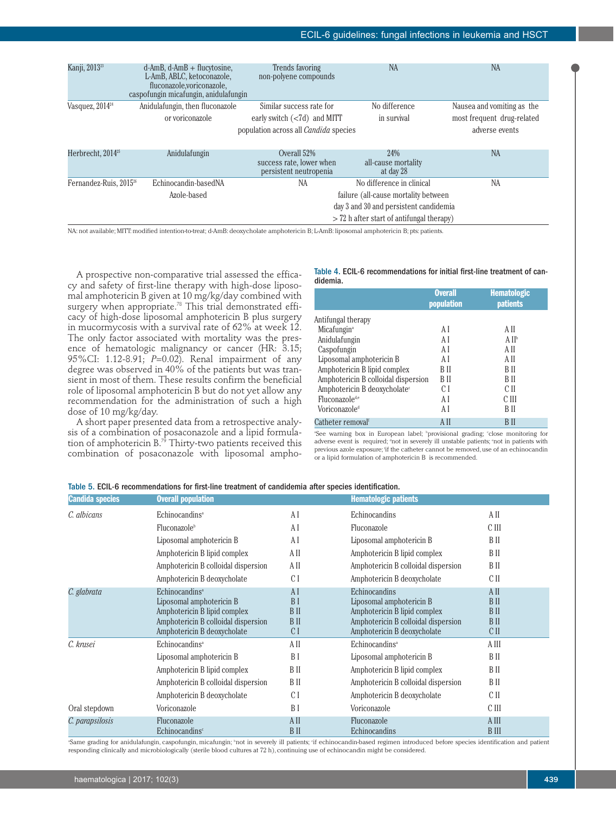| Kanji, 2013 <sup>23</sup>          | $d$ -AmB, $d$ -AmB + flucytosine,<br>L-AmB, ABLC, ketoconazole,<br>fluconazole, voriconazole,<br>caspofungin micafungin, anidulafungin | Trends favoring<br>non-polyene compounds                                                                    | <b>NA</b>                                                                                                                                                  | <b>NA</b>                                                                  |
|------------------------------------|----------------------------------------------------------------------------------------------------------------------------------------|-------------------------------------------------------------------------------------------------------------|------------------------------------------------------------------------------------------------------------------------------------------------------------|----------------------------------------------------------------------------|
| Vasquez, 2014 <sup>24</sup>        | Anidulafungin, then fluconazole<br>or voriconazole                                                                                     | Similar success rate for<br>early switch $(< 7d$ ) and MITT<br>population across all <i>Candida</i> species | No difference<br>in survival                                                                                                                               | Nausea and vomiting as the<br>most frequent drug-related<br>adverse events |
| Herbrecht, 2014 <sup>25</sup>      | Anidulafungin                                                                                                                          | Overall 52%<br>success rate, lower when<br>persistent neutropenia                                           | 24%<br>all-cause mortality<br>at day 28                                                                                                                    | <b>NA</b>                                                                  |
| Fernandez-Ruis, 2015 <sup>26</sup> | Echinocandin-basedNA<br>Azole-based                                                                                                    | NA                                                                                                          | No difference in clinical<br>failure (all-cause mortality between<br>day 3 and 30 and persistent candidemia<br>$>$ 72 h after start of antifungal therapy) | <b>NA</b>                                                                  |

NA: not available; MITT: modified intention-to-treat; d-AmB: deoxycholate amphotericin B; L-AmB: liposomal amphotericin B; pts: patients.

A prospective non-comparative trial assessed the efficacy and safety of first-line therapy with high-dose liposomal amphotericin B given at 10 mg/kg/day combined with surgery when appropriate. <sup>78</sup> This trial demonstrated efficacy of high-dose liposomal amphotericin B plus surgery in mucormycosis with a survival rate of 62% at week 12. The only factor associated with mortality was the presence of hematologic malignancy or cancer (HR: 3.15; 95%CI: 1.12-8.91; *P*=0.02). Renal impairment of any degree was observed in 40% of the patients but was transient in most of them. These results confirm the beneficial role of liposomal amphotericin B but do not yet allow any recommendation for the administration of such a high dose of 10 mg/kg/day.

A short paper presented data from a retrospective analysis of a combination of posaconazole and a lipid formulation of amphotericin B. <sup>79</sup> Thirty-two patients received this combination of posaconazole with liposomal amphoTable 4. ECIL-6 recommendations for initial first-line treatment of can- didemia.

|                                          | <b>Overall</b><br>population | <b>Hematologic</b><br><b>patients</b> |
|------------------------------------------|------------------------------|---------------------------------------|
| Antifungal therapy                       |                              |                                       |
| Micafungin <sup>a</sup>                  | ΑI                           | A II                                  |
| Anidulafungin                            | ΑI                           | A II <sup>b</sup>                     |
| Caspofungin                              | A I                          | A II                                  |
| Liposomal amphotericin B                 | ΑI                           | A II                                  |
| Amphotericin B lipid complex             | B II                         | B II                                  |
| Amphotericin B colloidal dispersion      | B II                         | B II                                  |
| Amphotericin B deoxycholate <sup>c</sup> | C I                          | C II                                  |
| Fluconazole <sup>de</sup>                | ΑI                           | C III                                 |
| Voriconazole <sup>d</sup>                | ΑI                           | B II                                  |
| Catheter removal <sup>f</sup>            | A II                         | B II                                  |

<sup>a</sup>See warning box in European label; <sup>b</sup>provisional grading; close monitoring for adverse event is required; dnot in severely ill unstable patients; enot in patients with previous azole exposure; <sup>f</sup> if the catheter cannot be removed,use of an echinocandin or a lipid formulation of amphotericin B is recommended.

| <b>Candida species</b> | <b>Overall population</b>               |                | <b>Hematologic patients</b>         |              |
|------------------------|-----------------------------------------|----------------|-------------------------------------|--------------|
| C. albicans            | Echinocandins <sup>a</sup>              | A I            | Echinocandins                       | A II         |
|                        | Fluconazole <sup>b</sup>                | A I            | Fluconazole                         | C III        |
|                        | Liposomal amphotericin B                | A I            | Liposomal amphotericin B            | B II         |
|                        | Amphotericin B lipid complex            | A II           | Amphotericin B lipid complex        | B II         |
|                        | Amphotericin B colloidal dispersion     | A II           | Amphotericin B colloidal dispersion | B II         |
|                        | Amphotericin B deoxycholate             | C I            | Amphotericin B deoxycholate         | C II         |
| C. glabrata            | Echinocandins <sup>a</sup>              | AI             | Echinocandins                       | A II         |
|                        | Liposomal amphotericin B                | B <sub>I</sub> | Liposomal amphotericin B            | <b>B</b> II  |
|                        | Amphotericin B lipid complex            | B II           | Amphotericin B lipid complex        | B II         |
|                        | Amphotericin B colloidal dispersion     | B II           | Amphotericin B colloidal dispersion | B II         |
|                        | Amphotericin B deoxycholate             | C I            | Amphotericin B deoxycholate         | C II         |
| C. krusei              | Echinocandins <sup>a</sup>              | A II           | Echinocandins <sup>a</sup>          | A III        |
|                        | Liposomal amphotericin B                | B I            | Liposomal amphotericin B            | B II         |
|                        | Amphotericin B lipid complex            | B II           | Amphotericin B lipid complex        | B II         |
|                        | Amphotericin B colloidal dispersion     | B II           | Amphotericin B colloidal dispersion | B II         |
|                        | Amphotericin B deoxycholate             | C I            | Amphotericin B deoxycholate         | C II         |
| Oral stepdown          | Voriconazole                            | B I            | Voriconazole                        | C III        |
| C. parapsilosis        | Fluconazole                             | A II           | Fluconazole                         | A III        |
|                        | Echinocandins <sup><math>c</math></sup> | <b>BII</b>     | Echinocandins                       | <b>B</b> III |

Table 5. ECIL-6 recommendations for first-line treatment of candidemia after species identification.

Same grading for anidulafungin, caspofungin, micafungin; bot in severely ill patients; if echinocandin-based regimen introduced before species identification and patient responding clinically and microbiologically (sterile blood cultures at 72 h), continuing use of echinocandin might be considered.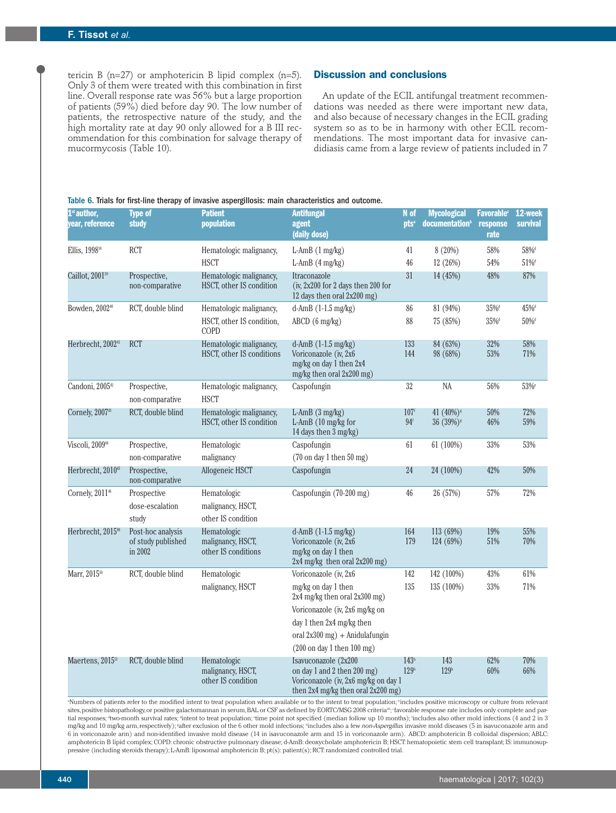tericin B ( $n=27$ ) or amphotericin B lipid complex ( $n=5$ ). Only 3 of them were treated with this combination in first line. Overall response rate was 56% but a large proportion of patients (59%) died before day 90. The low number of patients, the retrospective nature of the study, and the high mortality rate at day 90 only allowed for a B III recommendation for this combination for salvage therapy of mucormycosis (Table 10).

# **Discussion and conclusions**

An update of the ECIL antifungal treatment recommendations was needed as there were important new data, and also because of necessary changes in the ECIL grading system so as to be in harmony with other ECIL recommendations. The most important data for invasive candidiasis came from a large review of patients included in 7

# Table 6. Trials for first-line therapy of invasive aspergillosis: main characteristics and outcome.

| $1st$ author,<br>year, reference | Type of<br>study                                   | <b>Patient</b><br>population                            | <b>Antifungal</b><br>agent<br>(daily dose)                                                                                                                                                                    | N of<br><b>nts</b> <sup>a</sup>     | <b>Mycological</b><br>documentation <sup>b</sup>  | Favorable <sup>c</sup><br>response<br>rate | 12-week<br><b>survival</b> |
|----------------------------------|----------------------------------------------------|---------------------------------------------------------|---------------------------------------------------------------------------------------------------------------------------------------------------------------------------------------------------------------|-------------------------------------|---------------------------------------------------|--------------------------------------------|----------------------------|
| Ellis, 1998 <sup>38</sup>        | <b>RCT</b>                                         | Hematologic malignancy,                                 | L-AmB $(1 \text{ mg/kg})$                                                                                                                                                                                     | 41                                  | 8 (20%)                                           | 58%                                        | $58\%$ <sup>d</sup>        |
|                                  |                                                    | <b>HSCT</b>                                             | L-AmB $(4 \text{ mg/kg})$                                                                                                                                                                                     | 46                                  | 12 (26%)                                          | 54%                                        | $51\%$ <sup>d</sup>        |
| Caillot, 2001 <sup>39</sup>      | Prospective,<br>non-comparative                    | Hematologic malignancy,<br>HSCT, other IS condition     | Itraconazole<br>(iv, $2x200$ for 2 days then 200 for<br>12 days then oral 2x200 mg)                                                                                                                           | 31                                  | 14 (45%)                                          | 48%                                        | 87%                        |
| Bowden, 2002 <sup>40</sup>       | RCT, double blind                                  | Hematologic malignancy,                                 | d-AmB (1-1.5 mg/kg)                                                                                                                                                                                           | 86                                  | 81 (94%)                                          | $35\%$ <sup>d</sup>                        | 45% <sup>d</sup>           |
|                                  |                                                    | HSCT, other IS condition,<br>COPD                       | $ABCD$ (6 mg/kg)                                                                                                                                                                                              | 88                                  | 75 (85%)                                          | $35\%$ <sup>d</sup>                        | $50\%$ <sup>d</sup>        |
| Herbrecht, 2002 <sup>41</sup>    | <b>RCT</b>                                         | Hematologic malignancy,<br>HSCT, other IS conditions    | d-AmB $(1-1.5 \text{ mg/kg})$<br>Voriconazole (iv, 2x6<br>mg/kg on day 1 then 2x4<br>mg/kg then oral 2x200 mg)                                                                                                | 133<br>144                          | 84 (63%)<br>98 (68%)                              | 32%<br>53%                                 | 58%<br>71%                 |
| Candoni, 2005 <sup>42</sup>      | Prospective,<br>non-comparative                    | Hematologic malignancy,<br><b>HSCT</b>                  | Caspofungin                                                                                                                                                                                                   | 32                                  | NA                                                | 56%                                        | 53% <sup>e</sup>           |
| Cornely, 2007 <sup>43</sup>      | RCT, double blind                                  | Hematologic malignancy,<br>HSCT, other IS condition     | $L$ -AmB $(3 \text{mg/kg})$<br>L-AmB (10 mg/kg for<br>14 days then 3 mg/kg)                                                                                                                                   | 107 <sup>f</sup><br>94 <sup>f</sup> | 41 $(40\%)$ <sup>s</sup><br>36 (39%) <sup>s</sup> | 50%<br>46%                                 | 72%<br>59%                 |
| Viscoli, 2009 <sup>44</sup>      | Prospective,<br>non-comparative                    | Hematologic<br>malignancy                               | Caspofungin<br>$(70 \text{ on day 1}$ then $50 \text{ mg})$                                                                                                                                                   | 61                                  | 61 (100%)                                         | 33%                                        | 53%                        |
| Herbrecht, 2010 <sup>45</sup>    | Prospective,<br>non-comparative                    | Allogeneic HSCT                                         | Caspofungin                                                                                                                                                                                                   | 24                                  | 24 (100%)                                         | 42%                                        | 50%                        |
| Cornely, 2011 <sup>46</sup>      | Prospective<br>dose-escalation<br>study            | Hematologic<br>malignancy, HSCT,<br>other IS condition  | Caspofungin (70-200 mg)                                                                                                                                                                                       | 46                                  | 26 (57%)                                          | 57%                                        | 72%                        |
| Herbrecht, 2015 <sup>48</sup>    | Post-hoc analysis<br>of study published<br>in 2002 | Hematologic<br>malignancy, HSCT,<br>other IS conditions | d-AmB $(1-1.5 \text{ mg/kg})$<br>Voriconazole (iv, 2x6<br>mg/kg on day 1 then<br>2x4 mg/kg then oral 2x200 mg)                                                                                                | 164<br>179                          | 113 (69%)<br>124 (69%)                            | 19%<br>51%                                 | 55%<br>70%                 |
| Marr, 2015 <sup>50</sup>         | RCT, double blind                                  | Hematologic                                             | Voriconazole (iv, 2x6                                                                                                                                                                                         | 142                                 | 142 (100%)                                        | 43%                                        | 61%                        |
|                                  |                                                    | malignancy, HSCT                                        | mg/kg on day 1 then<br>$2x4$ mg/kg then oral $2x300$ mg)<br>Voriconazole (iv, 2x6 mg/kg on<br>day 1 then 2x4 mg/kg then<br>oral $2x300$ mg) + Anidulafungin<br>$(200 \text{ on day 1}$ then $100 \text{ mg})$ | 135                                 | 135 (100%)                                        | 33%                                        | 71%                        |
| Maertens, 2015 <sup>51</sup>     | RCT, double blind                                  | Hematologic<br>malignancy, HSCT,<br>other IS condition  | Isavuconazole (2x200<br>on day 1 and 2 then 200 mg)<br>Voriconazole (iv, 2x6 mg/kg on day 1<br>then 2x4 mg/kg then oral 2x200 mg)                                                                             | 143 <sup>h</sup><br>129h            | 143<br>129 <sup>h</sup>                           | 62%<br>60%                                 | 70%<br>66%                 |

«Numbers of patients refer to the modified intent to treat population when available or to the intent to treat population; "includes positive microscopy or culture from relevant sites,positive histopathology,or positive galactomannan in serum,BAL or CSF as defined by EORTC/MSG 2008 criteria®; favorable response rate includes only complete and partial responses; <sup>4</sup>two-month survival rates; <sup>4</sup>intent to treat population; <sup>e</sup>time point not specified (median follow up 10 months); <sup>f</sup>includes also other mold infections (4 and 2 in 3 mg/kg and 10 mg/kg arm,respectively); <sup>s</sup>after exclusion of the 6 other mold infections; "includes also a few *non-Aspergillus* invasive mold diseases (5 in isavuconazole arm and 6 in voriconazole arm) and non-identified invasive mold disease (14 in isavuconazole arm and 15 in voriconazole arm). ABCD: amphotericin B colloidal dispersion; ABLC: amphotericin B lipid complex; COPD: chronic obstructive pulmonary disease; d-AmB: deoxycholate amphotericin B; HSCT: hematopoietic stem cell transplant; IS: immunosuppressive (including steroids therapy); L-AmB: liposomal amphotericin B; pt(s): patient(s); RCT: randomized controlled trial.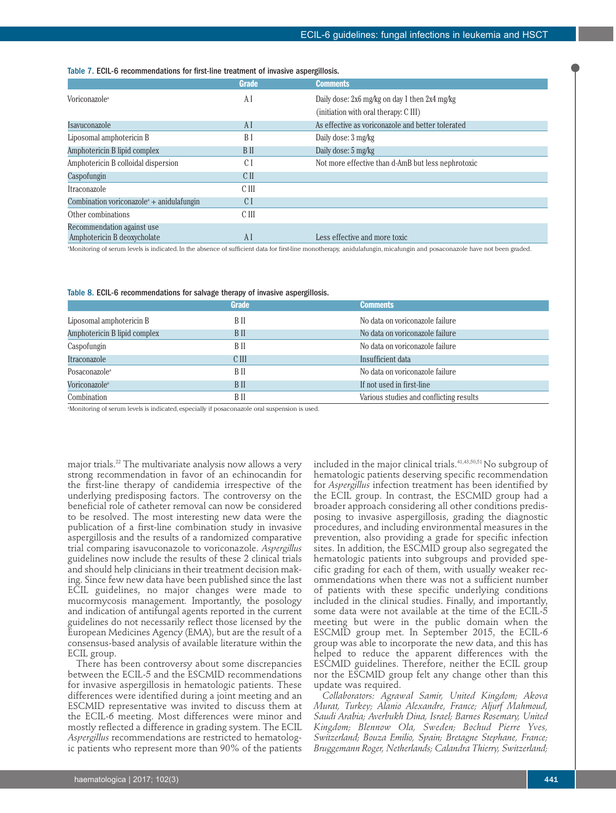# Table 7. ECIL-6 recommendations for first-line treatment of invasive aspergillosis.

|                                                                    | <b>Grade</b>    | <b>Comments</b>                                    |
|--------------------------------------------------------------------|-----------------|----------------------------------------------------|
| Voriconazole <sup>a</sup>                                          | ΑI              | Daily dose: 2x6 mg/kg on day 1 then 2x4 mg/kg      |
|                                                                    |                 | (initiation with oral therapy: C III)              |
| Isavuconazole                                                      | ΑI              | As effective as voriconazole and better tolerated  |
| Liposomal amphotericin B                                           | B I             | Daily dose: 3 mg/kg                                |
| Amphotericin B lipid complex                                       | B II            | Daily dose: 5 mg/kg                                |
| Amphotericin B colloidal dispersion                                | $\mathcal{C}$ 1 | Not more effective than d-AmB but less nephrotoxic |
| Caspofungin                                                        | C <sub>II</sub> |                                                    |
| Itraconazole                                                       | C III           |                                                    |
| Combination voriconazole <sup><math>a</math></sup> + anidulafungin | C I             |                                                    |
| Other combinations                                                 | C III           |                                                    |
| Recommendation against use<br>Amphotericin B deoxycholate          | ΑI              | Less effective and more toxic                      |

a Monitoring of serum levels is indicated.In the absence of sufficient data for first-line monotherapy, anidulafungin,micafungin and posaconazole have not been graded.

#### Table 8. ECIL-6 recommendations for salvage therapy of invasive aspergillosis.

|                              | <b>Grade</b> | <b>Comments</b>                         |
|------------------------------|--------------|-----------------------------------------|
| Liposomal amphotericin B     | B II         | No data on voriconazole failure         |
| Amphotericin B lipid complex | B II         | No data on voriconazole failure         |
| Caspofungin                  | B II         | No data on voriconazole failure         |
| Itraconazole                 | C III        | Insufficient data                       |
| Posaconazole <sup>a</sup>    | B II         | No data on voriconazole failure         |
| Voriconazole <sup>a</sup>    | B II         | If not used in first-line               |
| Combination                  | B II         | Various studies and conflicting results |

a Monitoring of serum levels is indicated, especially if posaconazole oral suspension is used.

major trials. <sup>22</sup> The multivariate analysis now allows a very strong recommendation in favor of an echinocandin for the first-line therapy of candidemia irrespective of the underlying predisposing factors. The controversy on the beneficial role of catheter removal can now be considered to be resolved. The most interesting new data were the publication of a first-line combination study in invasive aspergillosis and the results of a randomized comparative trial comparing isavuconazole to voriconazole. *Aspergillus* guidelines now include the results of these 2 clinical trials and should help clinicians in their treatment decision making. Since few new data have been published since the last ECIL guidelines, no major changes were made to mucormycosis management. Importantly, the posology and indication of antifungal agents reported in the current guidelines do not necessarily reflect those licensed by the European Medicines Agency (EMA), but are the result of a consensus-based analysis of available literature within the ECIL group.

There has been controversy about some discrepancies between the ECIL-5 and the ESCMID recommendations for invasive aspergillosis in hematologic patients. These differences were identified during a joint meeting and an ESCMID representative was invited to discuss them at the ECIL-6 meeting. Most differences were minor and mostly reflected a difference in grading system. The ECIL *Aspergillus* recommendations are restricted to hematologic patients who represent more than 90% of the patients

included in the major clinical trials. $^{41,43,50,51}\rm{No}$  subgroup of hematologic patients deserving specific recommendation for *Aspergillus* infection treatment has been identified by the ECIL group. In contrast, the ESCMID group had a broader approach considering all other conditions predisposing to invasive aspergillosis, grading the diagnostic procedures, and including environmental measures in the prevention, also providing a grade for specific infection sites. In addition, the ESCMID group also segregated the hematologic patients into subgroups and provided specific grading for each of them, with usually weaker recommendations when there was not a sufficient number of patients with these specific underlying conditions included in the clinical studies. Finally, and importantly, some data were not available at the time of the ECIL-5 meeting but were in the public domain when the ESCMID group met. In September 2015, the ECIL-6 group was able to incorporate the new data, and this has helped to reduce the apparent differences with the ESCMID guidelines. Therefore, neither the ECIL group nor the ESCMID group felt any change other than this update was required.

*Collaborators: Agrawal Samir, United Kingdom; Akova Murat, Turkey; Alanio Alexandre, France; Aljurf Mahmoud, Saudi Arabia; Averbukh Dina, Israel; Barnes Rosemary, United Kingdom; Blennow Ola, Sweden; Bochud Pierre Yves, Switzerland; Bouza Emilio, Spain; Bretagne Stephane, France; Bruggemann Roger, Netherlands; Calandra Thierry, Switzerland;*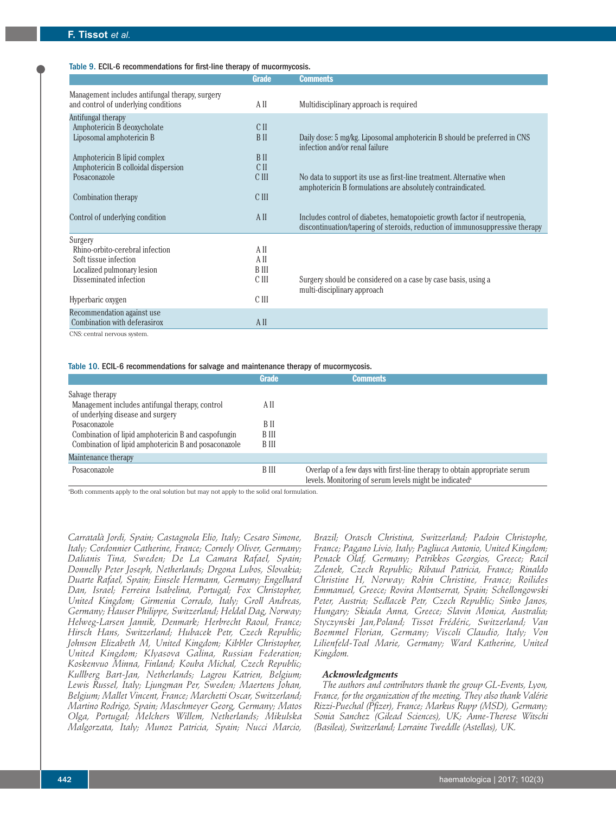# Table 9. ECIL-6 recommendations for first-line therapy of mucormycosis.

|                                                 | <b>Grade</b> | <b>Comments</b>                                                                                            |
|-------------------------------------------------|--------------|------------------------------------------------------------------------------------------------------------|
| Management includes antifungal therapy, surgery |              |                                                                                                            |
| and control of underlying conditions            | A II         | Multidisciplinary approach is required                                                                     |
| Antifungal therapy                              |              |                                                                                                            |
| Amphotericin B deoxycholate                     | C II         |                                                                                                            |
| Liposomal amphotericin B                        | B II         | Daily dose: 5 mg/kg. Liposomal amphotericin B should be preferred in CNS<br>infection and/or renal failure |
| Amphotericin B lipid complex                    | B II         |                                                                                                            |
| Amphotericin B colloidal dispersion             | C II         |                                                                                                            |
| Posaconazole                                    | C III        | No data to support its use as first-line treatment. Alternative when                                       |
|                                                 |              | amphotericin B formulations are absolutely contraindicated.                                                |
| Combination therapy                             | C III        |                                                                                                            |
|                                                 |              |                                                                                                            |
| Control of underlying condition                 | A II         | Includes control of diabetes, hematopoietic growth factor if neutropenia,                                  |
|                                                 |              | discontinuation/tapering of steroids, reduction of immunosuppressive therapy                               |
| Surgery                                         |              |                                                                                                            |
| Rhino-orbito-cerebral infection                 | A II         |                                                                                                            |
| Soft tissue infection                           | A II         |                                                                                                            |
| Localized pulmonary lesion                      | B III        |                                                                                                            |
| Disseminated infection                          | C III        | Surgery should be considered on a case by case basis, using a                                              |
|                                                 |              | multi-disciplinary approach                                                                                |
| Hyperbaric oxygen                               | C III        |                                                                                                            |
| Recommendation against use                      |              |                                                                                                            |
| Combination with deferasirox                    | A II         |                                                                                                            |
| CNS: central nervous system.                    |              |                                                                                                            |

#### Table 10. ECIL-6 recommendations for salvage and maintenance therapy of mucormycosis.

|                                                                                      | <b>Grade</b> | Comments                                                                                                                                        |
|--------------------------------------------------------------------------------------|--------------|-------------------------------------------------------------------------------------------------------------------------------------------------|
| Salvage therapy                                                                      |              |                                                                                                                                                 |
| Management includes antifungal therapy, control<br>of underlying disease and surgery | A II         |                                                                                                                                                 |
| Posaconazole                                                                         | B II         |                                                                                                                                                 |
| Combination of lipid amphotericin B and caspofungin                                  | B III        |                                                                                                                                                 |
| Combination of lipid amphotericin B and posaconazole                                 | B III        |                                                                                                                                                 |
| Maintenance therapy                                                                  |              |                                                                                                                                                 |
| Posaconazole                                                                         | B III        | Overlap of a few days with first-line therapy to obtain appropriate serum<br>levels. Monitoring of serum levels might be indicated <sup>a</sup> |

a Both comments apply to the oral solution but may not apply to the solid oral formulation.

*Carratalà Jordi, Spain; Castagnola Elio, Italy; Cesaro Simone, Italy; Cordonnier Catherine, France; Cornely Oliver, Germany; Dalianis Tina, Sweden; De La Camara Rafael, Spain; Donnelly Peter Joseph, Netherlands; Drgona Lubos, Slovakia; Duarte Rafael, Spain; Einsele Hermann, Germany; Engelhard Dan, Israel; Ferreira Isabelina, Portugal; Fox Christopher, United Kingdom; Girmenia Corrado, Italy; Groll Andreas, Germany; Hauser Philippe, Switzerland; Heldal Dag, Norway; Helweg-Larsen Jannik, Denmark; Herbrecht Raoul, France; Hirsch Hans, Switzerland; Hubacek Petr, Czech Republic; Johnson Elizabeth M, United Kingdom; Kibbler Christopher, United Kingdom; Klyasova Galina, Russian Federation; Koskenvuo Minna, Finland; Kouba Michal, Czech Republic; Kullberg Bart-Jan, Netherlands; Lagrou Katrien, Belgium; Lewis Russel, Italy; Ljungman Per, Sweden; Maertens Johan, Belgium; Mallet Vincent, France; Marchetti Oscar, Switzerland; Martino Rodrigo, Spain; Maschmeyer Georg, Germany; Matos Olga, Portugal; Melchers Willem, Netherlands; Mikulska Malgorzata, Italy; Munoz Patricia, Spain; Nucci Marcio,*

*Brazil; Orasch Christina, Switzerland; Padoin Christophe, France; Pagano Livio, Italy; Pagliuca Antonio, United Kingdom; Penack Olaf, Germany; Petrikkos Georgios, Greece; Racil Zdenek, Czech Republic; Ribaud Patricia, France; Rinaldo Christine H, Norway; Robin Christine, France; Roilides Emmanuel, Greece; Rovira Montserrat, Spain; Schellongowski Peter, Austria; Sedlacek Petr, Czech Republic; Sinko Janos, Hungary; Skiada Anna, Greece; Slavin Monica, Australia; Styczynski Jan,Poland; Tissot Frédéric, Switzerland; Van Boemmel Florian, Germany; Viscoli Claudio, Italy; Von Lilienfeld-Toal Marie, Germany; Ward Katherine, United Kingdom.*

# *Acknowledgments*

*The authors and contributors thank the group GL-Events, Lyon, France, for the organization of the meeting. They also thank Valérie Rizzi-Puechal (Pfizer), France; Markus Rupp (MSD), Germany; Sonia Sanchez (Gilead Sciences), UK; Anne-Therese Witschi (Basilea), Switzerland; Lorraine Tweddle (Astellas), UK.*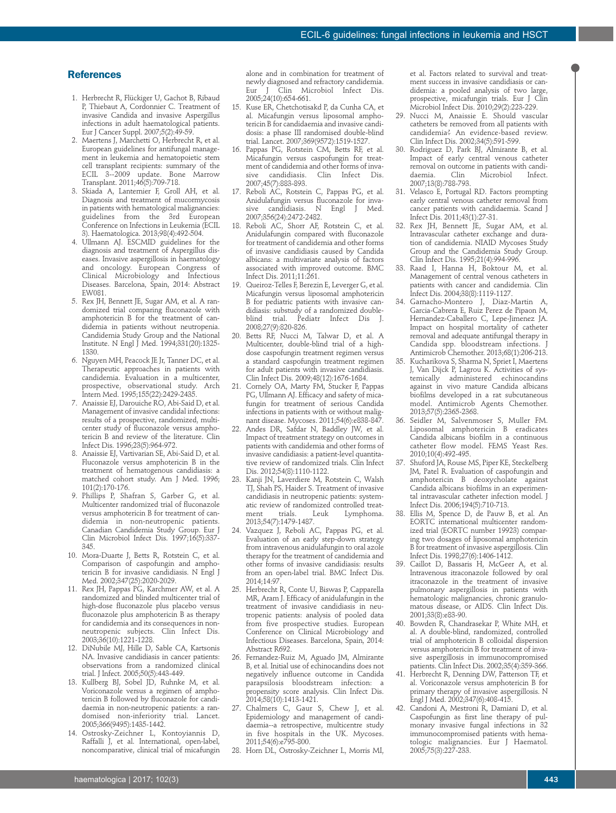#### **References**

- 1. Herbrecht R, Flückiger U, Gachot B, Ribaud P, Thiebaut A, Cordonnier C. Treatment of invasive Candida and invasive Aspergillus infections in adult haematological patients. Eur J Cancer Suppl. 2007;5(2):49-59.
- 2. Maertens J, Marchetti O, Herbrecht R, et al. European guidelines for antifungal management in leukemia and hematopoietic stem cell transplant recipients: summary of the ECIL 3--2009 update. Bone Marrow Transplant. 2011;46(5):709-718.
- 3. Skiada A, Lanternier F, Groll AH, et al. Diagnosis and treatment of mucormycosis in patients with hematological malignancies: guidelines from the 3rd European Conference on Infections in Leukemia (ECIL 3). Haematologica. 2013;98(4):492-504.
- 4. Ullmann AJ. ESCMID guidelines for the diagnosis and treatment of Aspergillus diseases. Invasive aspergillosis in haematology and oncology. European Congress of Clinical Microbiology and Infectious Diseases. Barcelona, Spain, 2014: Abstract EW081.
- 5. Rex JH, Bennett JE, Sugar AM, et al. A randomized trial comparing fluconazole with amphotericin B for the treatment of candidemia in patients without neutropenia. Candidemia Study Group and the National Institute. N Engl J Med. 1994;331(20):1325- 1330.
- 6. Nguyen MH, Peacock JE Jr, Tanner DC, et al. Therapeutic approaches in patients with candidemia. Evaluation in a multicenter, prospective, observational study. Arch Intern Med. 1995;155(22):2429-2435.
- 7. Anaissie EJ, Darouiche RO, Abi-Said D, et al. Management of invasive candidal infections: results of a prospective, randomized, multicenter study of fluconazole versus amphotericin B and review of the literature. Clin Infect Dis. 1996;23(5):964-972.
- 8. Anaissie EJ, Vartivarian SE, Abi-Said D, et al. Fluconazole versus amphotericin B in the treatment of hematogenous candidiasis: a matched cohort study. Am J Med. 1996; 101(2):170-176.
- 9. Phillips P, Shafran S, Garber G, et al. Multicenter randomized trial of fluconazole versus amphotericin B for treatment of candidemia in non-neutropenic patients. Canadian Candidemia Study Group. Eur J Clin Microbiol Infect Dis. 1997;16(5):337-345.
- 10. Mora-Duarte J, Betts R, Rotstein C, et al. Comparison of caspofungin and amphotericin B for invasive candidiasis. N Engl J Med. 2002;347(25):2020-2029.
- 11. Rex JH, Pappas PG, Karchmer AW, et al. A randomized and blinded multicenter trial of high-dose fluconazole plus placebo versus fluconazole plus amphotericin B as therapy for candidemia and its consequences in nonneutropenic subjects. Clin Infect Dis. 2003;36(10):1221-1228.
- 12. DiNubile MJ, Hille D, Sable CA, Kartsonis NA. Invasive candidiasis in cancer patients: observations from a randomized clinical trial. J Infect. 2005;50(5):443-449.
- 13. Kullberg BJ, Sobel JD, Ruhnke M, et al. Voriconazole versus a regimen of amphotericin B followed by fluconazole for candidaemia in non-neutropenic patients: a randomised non-inferiority trial. Lancet. 2005;366(9495):1435-1442.
- 14. Ostrosky-Zeichner L, Kontoyiannis D, Raffalli J, et al. International, open-label, noncomparative, clinical trial of micafungin

alone and in combination for treatment of newly diagnosed and refractory candidemia. Eur J Clin Microbiol Infect Dis. 2005;24(10):654-661.

- 15. Kuse ER, Chetchotisakd P, da Cunha CA, et al. Micafungin versus liposomal amphotericin B for candidaemia and invasive candidosis: a phase III randomised double-blind trial. Lancet. 2007;369(9572):1519-1527.
- 16. Pappas PG, Rotstein CM, Betts RF, et al. Micafungin versus caspofungin for treatment of candidemia and other forms of inva-<br>sive candidiasis. Clin Infect Dis. sive candidiasis. Clin Infect Dis. 2007;45(7):883-893.
- 17. Reboli AC, Rotstein C, Pappas PG, et al. Anidulafungin versus fluconazole for invasive candidiasis. N Engl J Med. 2007;356(24):2472-2482.
- 18. Reboli AC, Shorr AF, Rotstein C, et al. Anidulafungin compared with fluconazole for treatment of candidemia and other forms of invasive candidiasis caused by Candida albicans: a multivariate analysis of factors associated with improved outcome. BMC Infect Dis. 2011;11:261.
- 19. Queiroz-Telles F, Berezin E, Leverger G, et al. Micafungin versus liposomal amphotericin B for pediatric patients with invasive candidiasis: substudy of a randomized doubleblind trial. Pediatr Infect Dis J. 2008;27(9):820-826.
- 20. Betts RF, Nucci M, Talwar D, et al. A Multicenter, double-blind trial of a highdose caspofungin treatment regimen versus a standard caspofungin treatment regimen for adult patients with invasive candidiasis. Clin Infect Dis. 2009;48(12):1676-1684.
- 21. Cornely OA, Marty FM, Stucker F, Pappas PG, Ullmann AJ. Efficacy and safety of micafungin for treatment of serious Candida infections in patients with or without malignant disease. Mycoses. 2011;54(6):e838-847.
- 22. Andes DR, Safdar N, Baddley JW, et al. Impact of treatment strategy on outcomes in patients with candidemia and other forms of invasive candidiasis: a patient-level quantitative review of randomized trials. Clin Infect Dis. 2012;54(8):1110-1122.
- 23. Kanji JN, Laverdiere M, Rotstein C, Walsh TJ, Shah PS, Haider S. Treatment of invasive candidiasis in neutropenic patients: systematic review of randomized controlled treat-<br>ment trials. Leuk Lymnhoma trials. Leuk Lymphoma. 2013;54(7):1479-1487.
- 24. Vazquez J, Reboli AC, Pappas PG, et al. Evaluation of an early step-down strategy from intravenous anidulafungin to oral azole therapy for the treatment of candidemia and other forms of invasive candidiasis: results from an open-label trial. BMC Infect Dis. 2014;14:97.
- 25. Herbrecht R, Conte U, Biswas P, Capparella MR, Aram J. Efficacy of anidulafungin in the treatment of invasive candidiasis in neutropenic patients: analysis of pooled data from five prospective studies. European Conference on Clinical Microbiology and Infectious Diseases. Barcelona, Spain, 2014: Abstract R692.
- 26. Fernandez-Ruiz M, Aguado JM, Almirante B, et al. Initial use of echinocandins does not negatively influence outcome in Candida parapsilosis bloodstream infection: a propensity score analysis. Clin Infect Dis. 2014;58(10):1413-1421.
- 27. Chalmers C, Gaur S, Chew J, et al. Epidemiology and management of candidaemia--a retrospective, multicentre study in five hospitals in the UK. Mycoses. 2011;54(6):e795-800.
- 28. Horn DL, Ostrosky-Zeichner L, Morris MI,

et al. Factors related to survival and treatment success in invasive candidiasis or candidemia: a pooled analysis of two large, prospective, micafungin trials. Eur J Clin Microbiol Infect Dis. 2010;29(2):223-229.

- 29. Nucci M, Anaissie E. Should vascular catheters be removed from all patients with candidemia? An evidence-based review. Clin Infect Dis. 2002;34(5):591-599.
- 30. Rodriguez D, Park BJ, Almirante B, et al. Impact of early central venous catheter removal on outcome in patients with candi-<br>daemia. Clin Microbiol Infect. Microbiol 2007;13(8):788-793.
- 31. Velasco E, Portugal RD. Factors prompting early central venous catheter removal from cancer patients with candidaemia. Scand J Infect Dis. 2011;43(1):27-31.
- 32. Rex JH, Bennett JE, Sugar AM, et al. Intravascular catheter exchange and duration of candidemia. NIAID Mycoses Study Group and the Candidemia Study Group. Clin Infect Dis. 1995;21(4):994-996.
- 33. Raad I, Hanna H, Boktour M, et al. Management of central venous catheters in patients with cancer and candidemia. Clin Infect Dis. 2004;38(8):1119-1127.
- 34. Garnacho-Montero J, Diaz-Martin A, Garcia-Cabrera E, Ruiz Perez de Pipaon M, Hernandez-Caballero C, Lepe-Jimenez JA. Impact on hospital mortality of catheter removal and adequate antifungal therapy in Candida spp. bloodstream infections. J Antimicrob Chemother. 2013;68(1):206-213.
- 35. Kucharikova S, Sharma N, Spriet I, Maertens J, Van Dijck P, Lagrou K. Activities of systemically administered echinocandins against in vivo mature Candida albicans biofilms developed in a rat subcutaneous model. Antimicrob Agents Chemother. 2013;57(5):2365-2368.
- 36. Seidler M, Salvenmoser S, Muller FM. Liposomal amphotericin B eradicates Candida albicans biofilm in a continuous catheter flow model. FEMS Yeast Res. 2010;10(4):492-495.
- 37. Shuford JA, Rouse MS, Piper KE, Steckelberg JM, Patel R. Evaluation of caspofungin and amphotericin B deoxycholate against Candida albicans biofilms in an experimental intravascular catheter infection model. J Infect Dis. 2006;194(5):710-713.
- 38. Ellis M, Spence D, de Pauw B, et al. An EORTC international multicenter randomized trial (EORTC number 19923) comparing two dosages of liposomal amphotericin B for treatment of invasive aspergillosis. Clin Infect Dis. 1998;27(6):1406-1412.
- 39. Caillot D, Bassaris H, McGeer A, et al. Intravenous itraconazole followed by oral itraconazole in the treatment of invasive pulmonary aspergillosis in patients with hematologic malignancies, chronic granulomatous disease, or AIDS. Clin Infect Dis. 2001;33(8):e83-90.
- 40. Bowden R, Chandrasekar P, White MH, et al. A double-blind, randomized, controlled trial of amphotericin B colloidal dispersion versus amphotericin B for treatment of invasive aspergillosis in immunocompromised patients. Clin Infect Dis. 2002;35(4):359-366.
- 41. Herbrecht R, Denning DW, Patterson TF, et al. Voriconazole versus amphotericin B for primary therapy of invasive aspergillosis. N Engl J Med. 2002;347(6):408-415.
- 42. Candoni A, Mestroni R, Damiani D, et al. Caspofungin as first line therapy of pulmonary invasive fungal infections in 32 immunocompromised patients with hematologic malignancies. Eur J Haematol. 2005;75(3):227-233.